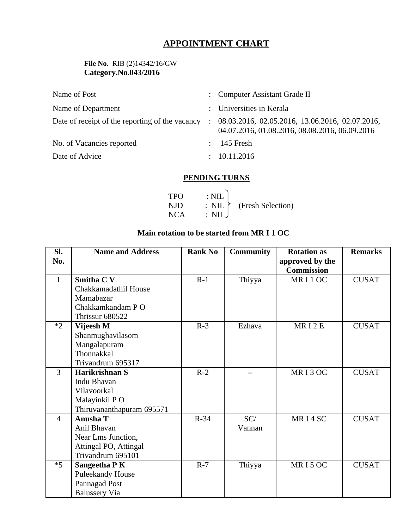# **APPOINTMENT CHART**

### **File No.** RIB (2)14342/16/GW **Category.No.043/2016**

| Name of Post                                    | : Computer Assistant Grade II                                                                         |
|-------------------------------------------------|-------------------------------------------------------------------------------------------------------|
| Name of Department                              | : Universities in Kerala                                                                              |
| Date of receipt of the reporting of the vacancy | $: 08.03.2016, 02.05.2016, 13.06.2016, 02.07.2016,$<br>04.07.2016, 01.08.2016, 08.08.2016, 06.09.2016 |
| No. of Vacancies reported                       | 145 Fresh                                                                                             |
| Date of Advice                                  | : 10.11.2016                                                                                          |

### **PENDING TURNS**

| <b>TPO</b> | $\therefore$ NIL        |                                               |
|------------|-------------------------|-----------------------------------------------|
| NJD        |                         | $\therefore$ NIL $\uparrow$ (Fresh Selection) |
| NCA –      | $\therefore$ NIL $\cup$ |                                               |

## **Main rotation to be started from MR I 1 OC**

| SI.            | <b>Name and Address</b>   | <b>Rank No</b> | Community | <b>Rotation as</b> | <b>Remarks</b> |
|----------------|---------------------------|----------------|-----------|--------------------|----------------|
| No.            |                           |                |           | approved by the    |                |
|                |                           |                |           | <b>Commission</b>  |                |
| $\mathbf{1}$   | <b>Smitha C V</b>         | $R-1$          | Thiyya    | MRI1OC             | <b>CUSAT</b>   |
|                | Chakkamadathil House      |                |           |                    |                |
|                | Mamabazar                 |                |           |                    |                |
|                | Chakkamkandam PO          |                |           |                    |                |
|                | Thrissur 680522           |                |           |                    |                |
| $*$            | Vijeesh M                 | $R-3$          | Ezhava    | MRI2E              | <b>CUSAT</b>   |
|                | Shanmughavilasom          |                |           |                    |                |
|                | Mangalapuram              |                |           |                    |                |
|                | Thonnakkal                |                |           |                    |                |
|                | Trivandrum 695317         |                |           |                    |                |
| $\overline{3}$ | Harikrishnan S            | $R-2$          |           | MRI3OC             | <b>CUSAT</b>   |
|                | Indu Bhavan               |                |           |                    |                |
|                | Vilavoorkal               |                |           |                    |                |
|                | Malayinkil PO             |                |           |                    |                |
|                | Thiruvananthapuram 695571 |                |           |                    |                |
| $\overline{4}$ | <b>Anusha T</b>           | $R-34$         | SC/       | MRI4SC             | <b>CUSAT</b>   |
|                | Anil Bhavan               |                | Vannan    |                    |                |
|                | Near Lms Junction,        |                |           |                    |                |
|                | Attingal PO, Attingal     |                |           |                    |                |
|                | Trivandrum 695101         |                |           |                    |                |
| $*5$           | Sangeetha P K             | $R-7$          | Thiyya    | MRI5OC             | <b>CUSAT</b>   |
|                | <b>Puleekandy House</b>   |                |           |                    |                |
|                | Pannagad Post             |                |           |                    |                |
|                | <b>Balussery Via</b>      |                |           |                    |                |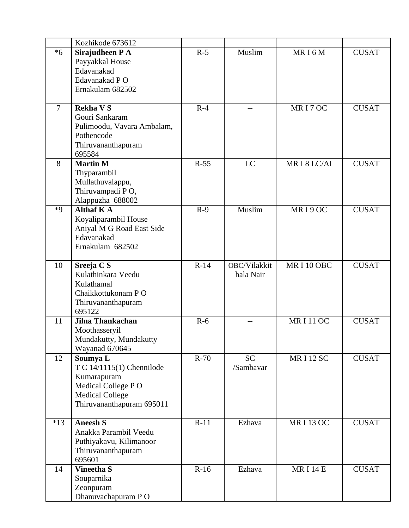|                | Kozhikode 673612                      |        |              |                 |              |
|----------------|---------------------------------------|--------|--------------|-----------------|--------------|
| $*6$           | Sirajudheen P A                       | $R-5$  | Muslim       | MRI6M           | <b>CUSAT</b> |
|                | Payyakkal House                       |        |              |                 |              |
|                | Edavanakad                            |        |              |                 |              |
|                | Edavanakad PO                         |        |              |                 |              |
|                | Ernakulam 682502                      |        |              |                 |              |
|                |                                       |        |              |                 |              |
| $\overline{7}$ | <b>Rekha V S</b>                      | $R-4$  |              | MRI7OC          | <b>CUSAT</b> |
|                | Gouri Sankaram                        |        |              |                 |              |
|                | Pulimoodu, Vavara Ambalam,            |        |              |                 |              |
|                | Pothencode                            |        |              |                 |              |
|                | Thiruvananthapuram                    |        |              |                 |              |
| 8              | 695584<br><b>Martin M</b>             | $R-55$ | LC           | MRI8LC/AI       | <b>CUSAT</b> |
|                | Thyparambil                           |        |              |                 |              |
|                | Mullathuvalappu,                      |        |              |                 |              |
|                | Thiruvampadi PO,                      |        |              |                 |              |
|                | Alappuzha 688002                      |        |              |                 |              |
| $*9$           | <b>Althaf K A</b>                     | $R-9$  | Muslim       | MRI9OC          | <b>CUSAT</b> |
|                | Koyaliparambil House                  |        |              |                 |              |
|                | Aniyal M G Road East Side             |        |              |                 |              |
|                | Edavanakad                            |        |              |                 |              |
|                | Ernakulam 682502                      |        |              |                 |              |
| 10             | Sreeja C S                            | $R-14$ | OBC/Vilakkit | MRI10OBC        | <b>CUSAT</b> |
|                | Kulathinkara Veedu                    |        | hala Nair    |                 |              |
|                | Kulathamal                            |        |              |                 |              |
|                | Chaikkottukonam PO                    |        |              |                 |              |
|                | Thiruvananthapuram                    |        |              |                 |              |
|                | 695122                                |        |              |                 |              |
| 11             | Jilna Thankachan                      | $R-6$  |              | <b>MRI11OC</b>  | <b>CUSAT</b> |
|                | Moothasseryil                         |        |              |                 |              |
|                | Mundakutty, Mundakutty                |        |              |                 |              |
|                | Wayanad 670645                        | $R-70$ | <b>SC</b>    |                 |              |
| 12             | Soumya L<br>T C 14/1115(1) Chennilode |        | /Sambavar    | <b>MRI12 SC</b> | <b>CUSAT</b> |
|                | Kumarapuram                           |        |              |                 |              |
|                | Medical College PO                    |        |              |                 |              |
|                | <b>Medical College</b>                |        |              |                 |              |
|                | Thiruvananthapuram 695011             |        |              |                 |              |
|                |                                       |        |              |                 |              |
| $*13$          | <b>Aneesh S</b>                       | $R-11$ | Ezhava       | <b>MRI13OC</b>  | <b>CUSAT</b> |
|                | Anakka Parambil Veedu                 |        |              |                 |              |
|                | Puthiyakavu, Kilimanoor               |        |              |                 |              |
|                | Thiruvananthapuram                    |        |              |                 |              |
| 14             | 695601<br><b>Vineetha S</b>           | $R-16$ | Ezhava       | <b>MRI14E</b>   | <b>CUSAT</b> |
|                | Souparnika                            |        |              |                 |              |
|                | Zeonpuram                             |        |              |                 |              |
|                | Dhanuvachapuram PO                    |        |              |                 |              |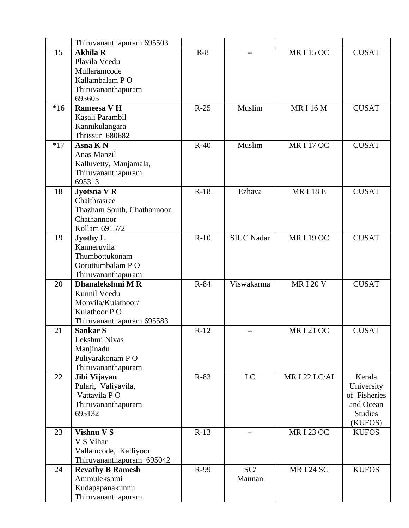|       | Thiruvananthapuram 695503              |        |                   |                  |                |
|-------|----------------------------------------|--------|-------------------|------------------|----------------|
| 15    | <b>Akhila R</b>                        | $R-8$  |                   | <b>MRI15 OC</b>  | <b>CUSAT</b>   |
|       | Plavila Veedu                          |        |                   |                  |                |
|       | Mullaramcode                           |        |                   |                  |                |
|       | Kallambalam PO                         |        |                   |                  |                |
|       | Thiruvananthapuram                     |        |                   |                  |                |
|       | 695605                                 |        |                   |                  |                |
| $*16$ | Rameesa V H                            | $R-25$ | Muslim            | <b>MRI16M</b>    | <b>CUSAT</b>   |
|       | Kasali Parambil                        |        |                   |                  |                |
|       | Kannikulangara                         |        |                   |                  |                |
|       | Thrissur 680682                        |        |                   |                  |                |
| $*17$ | Asna K N                               | $R-40$ | Muslim            | <b>MRI17OC</b>   | <b>CUSAT</b>   |
|       | Anas Manzil                            |        |                   |                  |                |
|       | Kalluvetty, Manjamala,                 |        |                   |                  |                |
|       | Thiruvananthapuram                     |        |                   |                  |                |
|       | 695313                                 |        |                   |                  |                |
| 18    | Jyotsna V R                            | $R-18$ | Ezhava            | <b>MRI18E</b>    | <b>CUSAT</b>   |
|       | Chaithrasree                           |        |                   |                  |                |
|       | Thazham South, Chathannoor             |        |                   |                  |                |
|       | Chathannoor                            |        |                   |                  |                |
|       | Kollam 691572                          |        |                   |                  |                |
| 19    | <b>Jyothy L</b>                        | $R-10$ | <b>SIUC Nadar</b> | <b>MRI 19 OC</b> | <b>CUSAT</b>   |
|       | Kanneruvila                            |        |                   |                  |                |
|       | Thumbottukonam                         |        |                   |                  |                |
|       | Ooruttumbalam PO                       |        |                   |                  |                |
|       | Thiruvananthapuram<br>Dhanalekshmi M R | R-84   | Viswakarma        | <b>MRI20V</b>    |                |
| 20    | Kunnil Veedu                           |        |                   |                  | <b>CUSAT</b>   |
|       | Monvila/Kulathoor/                     |        |                   |                  |                |
|       | Kulathoor P O                          |        |                   |                  |                |
|       | Thiruvananthapuram 695583              |        |                   |                  |                |
| 21    | Sankar S                               | $R-12$ | $-$               | <b>MRI21OC</b>   | <b>CUSAT</b>   |
|       | Lekshmi Nivas                          |        |                   |                  |                |
|       | Manjinadu                              |        |                   |                  |                |
|       | Puliyarakonam PO                       |        |                   |                  |                |
|       | Thiruvananthapuram                     |        |                   |                  |                |
| 22    | Jibi Vijayan                           | $R-83$ | LC                | MRI 22 LC/AI     | Kerala         |
|       | Pulari, Valiyavila,                    |        |                   |                  | University     |
|       | Vattavila PO                           |        |                   |                  | of Fisheries   |
|       | Thiruvananthapuram                     |        |                   |                  | and Ocean      |
|       | 695132                                 |        |                   |                  | <b>Studies</b> |
|       |                                        |        |                   |                  | (KUFOS)        |
| 23    | <b>Vishnu V S</b>                      | $R-13$ |                   | <b>MRI 23 OC</b> | <b>KUFOS</b>   |
|       | V S Vihar                              |        |                   |                  |                |
|       | Vallamcode, Kalliyoor                  |        |                   |                  |                |
|       | Thiruvananthapuram 695042              |        |                   |                  |                |
| 24    | <b>Revathy B Ramesh</b>                | R-99   | SC/               | <b>MRI 24 SC</b> | <b>KUFOS</b>   |
|       | Ammulekshmi                            |        | Mannan            |                  |                |
|       | Kudapapanakunnu                        |        |                   |                  |                |
|       | Thiruvananthapuram                     |        |                   |                  |                |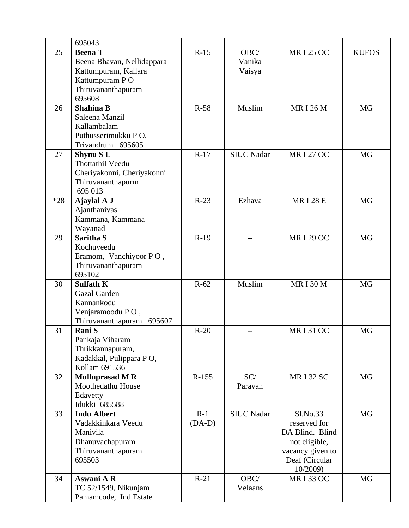|       | 695043                       |          |                   |                  |              |
|-------|------------------------------|----------|-------------------|------------------|--------------|
| 25    | <b>Beena</b> T               | $R-15$   | OBC/              | <b>MRI 25 OC</b> | <b>KUFOS</b> |
|       | Beena Bhavan, Nellidappara   |          | Vanika            |                  |              |
|       | Kattumpuram, Kallara         |          | Vaisya            |                  |              |
|       | Kattumpuram PO               |          |                   |                  |              |
|       | Thiruvananthapuram           |          |                   |                  |              |
|       | 695608                       |          |                   |                  |              |
| 26    | <b>Shahina B</b>             | R-58     | Muslim            | <b>MRI 26 M</b>  | <b>MG</b>    |
|       | Saleena Manzil               |          |                   |                  |              |
|       | Kallambalam                  |          |                   |                  |              |
|       | Puthusserimukku PO,          |          |                   |                  |              |
|       | Trivandrum 695605            |          |                   |                  |              |
| 27    | Shynu SL                     | $R-17$   | <b>SIUC Nadar</b> | <b>MRI 27 OC</b> | MG           |
|       | Thottathil Veedu             |          |                   |                  |              |
|       | Cheriyakonni, Cheriyakonni   |          |                   |                  |              |
|       | Thiruvananthapurm<br>695 013 |          |                   |                  |              |
| $*28$ | Ajaylal A J                  | $R-23$   | Ezhava            | <b>MRI 28 E</b>  | <b>MG</b>    |
|       | Ajanthanivas                 |          |                   |                  |              |
|       | Kammana, Kammana             |          |                   |                  |              |
|       | Wayanad                      |          |                   |                  |              |
| 29    | Saritha S                    | $R-19$   |                   | <b>MRI 29 OC</b> | <b>MG</b>    |
|       | Kochuveedu                   |          |                   |                  |              |
|       | Eramom, Vanchiyoor PO,       |          |                   |                  |              |
|       | Thiruvananthapuram           |          |                   |                  |              |
|       | 695102                       |          |                   |                  |              |
| 30    | <b>Sulfath K</b>             | $R-62$   | Muslim            | <b>MRI30M</b>    | <b>MG</b>    |
|       | Gazal Garden                 |          |                   |                  |              |
|       | Kannankodu                   |          |                   |                  |              |
|       | Venjaramoodu PO,             |          |                   |                  |              |
|       | Thiruvananthapuram<br>695607 |          |                   |                  |              |
| 31    | Rani S                       | $R-20$   | --                | <b>MRI31OC</b>   | MG           |
|       | Pankaja Viharam              |          |                   |                  |              |
|       | Thrikkannapuram,             |          |                   |                  |              |
|       | Kadakkal, Pulippara PO,      |          |                   |                  |              |
|       | Kollam 691536                |          |                   |                  |              |
| 32    | <b>Mulluprasad M R</b>       | R-155    | SC/               | <b>MRI32 SC</b>  | MG           |
|       | Moothedathu House            |          | Paravan           |                  |              |
|       | Edavetty<br>Idukki 685588    |          |                   |                  |              |
| 33    | <b>Indu Albert</b>           | $R-1$    | <b>SIUC Nadar</b> | Sl.No.33         | MG           |
|       | Vadakkinkara Veedu           | $(DA-D)$ |                   | reserved for     |              |
|       | Manivila                     |          |                   | DA Blind. Blind  |              |
|       | Dhanuvachapuram              |          |                   | not eligible,    |              |
|       | Thiruvananthapuram           |          |                   | vacancy given to |              |
|       | 695503                       |          |                   | Deaf (Circular   |              |
|       |                              |          |                   | 10/2009)         |              |
| 34    | Aswani A R                   | $R-21$   | OBC/              | <b>MRI33 OC</b>  | MG           |
|       | TC 52/1549, Nikunjam         |          | Velaans           |                  |              |
|       | Pamamcode, Ind Estate        |          |                   |                  |              |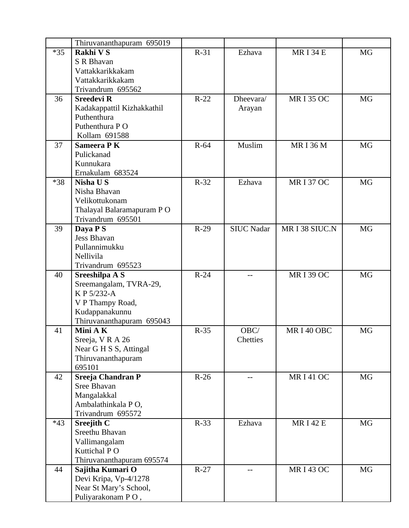|       | Thiruvananthapuram 695019                 |        |                   |                 |           |
|-------|-------------------------------------------|--------|-------------------|-----------------|-----------|
| $*35$ | Rakhi V S                                 | $R-31$ | Ezhava            | <b>MRI34E</b>   | <b>MG</b> |
|       | S R Bhavan                                |        |                   |                 |           |
|       | Vattakkarikkakam                          |        |                   |                 |           |
|       | Vattakkarikkakam                          |        |                   |                 |           |
|       | Trivandrum 695562                         |        |                   |                 |           |
| 36    | <b>Sreedevi R</b>                         | $R-22$ | Dheevara/         | <b>MRI35 OC</b> | MG        |
|       | Kadakappattil Kizhakkathil                |        | Arayan            |                 |           |
|       | Puthenthura                               |        |                   |                 |           |
|       | Puthenthura P O                           |        |                   |                 |           |
|       | Kollam 691588                             |        |                   |                 |           |
| 37    | Sameera P K                               | $R-64$ | Muslim            | <b>MRI36M</b>   | <b>MG</b> |
|       | Pulickanad                                |        |                   |                 |           |
|       | Kunnukara                                 |        |                   |                 |           |
|       | Ernakulam 683524                          |        |                   |                 |           |
| *38   | <b>Nisha US</b>                           | $R-32$ | Ezhava            | <b>MRI37 OC</b> | <b>MG</b> |
|       | Nisha Bhavan                              |        |                   |                 |           |
|       | Velikottukonam                            |        |                   |                 |           |
|       | Thalayal Balaramapuram PO                 |        |                   |                 |           |
|       | Trivandrum 695501                         |        |                   |                 |           |
| 39    | Daya P S                                  | $R-29$ | <b>SIUC Nadar</b> | MRI38 SIUC.N    | <b>MG</b> |
|       | Jess Bhavan                               |        |                   |                 |           |
|       | Pullannimukku                             |        |                   |                 |           |
|       | Nellivila                                 |        |                   |                 |           |
|       | Trivandrum 695523                         |        |                   |                 |           |
| 40    | Sreeshilpa A S                            | $R-24$ |                   | <b>MRI39 OC</b> | <b>MG</b> |
|       | Sreemangalam, TVRA-29,                    |        |                   |                 |           |
|       | K P 5/232-A                               |        |                   |                 |           |
|       | V P Thampy Road,                          |        |                   |                 |           |
|       | Kudappanakunnu                            |        |                   |                 |           |
|       | Thiruvananthapuram 695043                 |        |                   |                 |           |
| 41    | Mini AK                                   | $R-35$ | OBC/              | MRI40 OBC       | <b>MG</b> |
|       | Sreeja, VRA 26                            |        | Chetties          |                 |           |
|       | Near G H S S, Attingal                    |        |                   |                 |           |
|       | Thiruvananthapuram                        |        |                   |                 |           |
|       | 695101                                    |        |                   |                 |           |
| 42    | <b>Sreeja Chandran P</b>                  | $R-26$ |                   | <b>MRI41OC</b>  | MG        |
|       | <b>Sree Bhavan</b>                        |        |                   |                 |           |
|       | Mangalakkal                               |        |                   |                 |           |
|       | Ambalathinkala PO,                        |        |                   |                 |           |
|       | Trivandrum 695572                         |        |                   |                 |           |
| $*43$ | <b>Sreejith C</b>                         | $R-33$ | Ezhava            | <b>MRI42E</b>   | MG        |
|       | Sreethu Bhavan                            |        |                   |                 |           |
|       | Vallimangalam                             |        |                   |                 |           |
|       | Kuttichal PO                              |        |                   |                 |           |
| 44    | Thiruvananthapuram 695574                 | $R-27$ |                   | <b>MRI43 OC</b> | MG        |
|       | Sajitha Kumari O<br>Devi Kripa, Vp-4/1278 |        |                   |                 |           |
|       | Near St Mary's School,                    |        |                   |                 |           |
|       | Puliyarakonam PO,                         |        |                   |                 |           |
|       |                                           |        |                   |                 |           |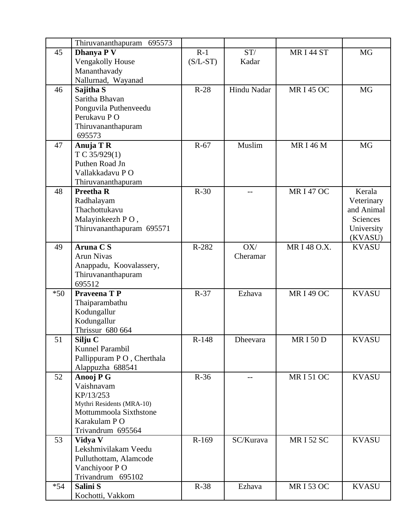|       | Thiruvananthapuram 695573       |            |                 |                 |                 |
|-------|---------------------------------|------------|-----------------|-----------------|-----------------|
| 45    | Dhanya P V                      | $R-1$      | ST/             | <b>MRI44 ST</b> | <b>MG</b>       |
|       | Vengakolly House                | $(S/L-ST)$ | Kadar           |                 |                 |
|       | Mananthavady                    |            |                 |                 |                 |
|       | Nallurnad, Wayanad              |            |                 |                 |                 |
| 46    | Sajitha S                       | $R-28$     | Hindu Nadar     | <b>MRI45 OC</b> | <b>MG</b>       |
|       | Saritha Bhavan                  |            |                 |                 |                 |
|       | Ponguvila Puthenveedu           |            |                 |                 |                 |
|       | Perukavu PO                     |            |                 |                 |                 |
|       | Thiruvananthapuram              |            |                 |                 |                 |
|       | 695573                          |            |                 |                 |                 |
| 47    | Anuja T R                       | $R-67$     | Muslim          | <b>MRI 46 M</b> | <b>MG</b>       |
|       | T C 35/929(1)                   |            |                 |                 |                 |
|       | Puthen Road Jn                  |            |                 |                 |                 |
|       | Vallakkadavu PO                 |            |                 |                 |                 |
|       | Thiruvananthapuram              |            |                 |                 |                 |
| 48    | <b>Preetha R</b>                | $R-30$     | --              | <b>MRI47 OC</b> | Kerala          |
|       | Radhalayam                      |            |                 |                 | Veterinary      |
|       | Thachottukavu                   |            |                 |                 | and Animal      |
|       | Malayinkeezh PO,                |            |                 |                 | <b>Sciences</b> |
|       | Thiruvananthapuram 695571       |            |                 |                 | University      |
|       |                                 |            |                 |                 | (KVASU)         |
| 49    | <b>Aruna CS</b>                 | R-282      | OX/             | MR I 48 O.X.    | <b>KVASU</b>    |
|       | <b>Arun Nivas</b>               |            | Cheramar        |                 |                 |
|       | Anappadu, Koovalassery,         |            |                 |                 |                 |
|       | Thiruvananthapuram              |            |                 |                 |                 |
|       | 695512                          |            |                 |                 |                 |
| $*50$ | Praveena T P                    | $R-37$     | Ezhava          | <b>MRI49 OC</b> | <b>KVASU</b>    |
|       | Thaiparambathu                  |            |                 |                 |                 |
|       | Kodungallur                     |            |                 |                 |                 |
|       | Kodungallur<br>Thrissur 680 664 |            |                 |                 |                 |
|       |                                 |            |                 |                 |                 |
| 51    | Silju C<br>Kunnel Parambil      | R-148      | <b>Dheevara</b> | <b>MRI50D</b>   | <b>KVASU</b>    |
|       | Pallippuram P O, Cherthala      |            |                 |                 |                 |
|       | Alappuzha 688541                |            |                 |                 |                 |
| 52    | Anooj P G                       | $R-36$     |                 | <b>MRI51OC</b>  | <b>KVASU</b>    |
|       | Vaishnavam                      |            |                 |                 |                 |
|       | KP/13/253                       |            |                 |                 |                 |
|       | Mythri Residents (MRA-10)       |            |                 |                 |                 |
|       | Mottummoola Sixthstone          |            |                 |                 |                 |
|       | Karakulam P O                   |            |                 |                 |                 |
|       | Trivandrum 695564               |            |                 |                 |                 |
| 53    | Vidya V                         | R-169      | SC/Kurava       | <b>MRI52 SC</b> | <b>KVASU</b>    |
|       | Lekshmivilakam Veedu            |            |                 |                 |                 |
|       | Pulluthottam, Alamcode          |            |                 |                 |                 |
|       | Vanchiyoor PO                   |            |                 |                 |                 |
|       |                                 |            |                 |                 |                 |
|       | Trivandrum 695102               |            |                 |                 |                 |
| $*54$ | Salini S                        | $R-38$     | Ezhava          | <b>MRI53 OC</b> | <b>KVASU</b>    |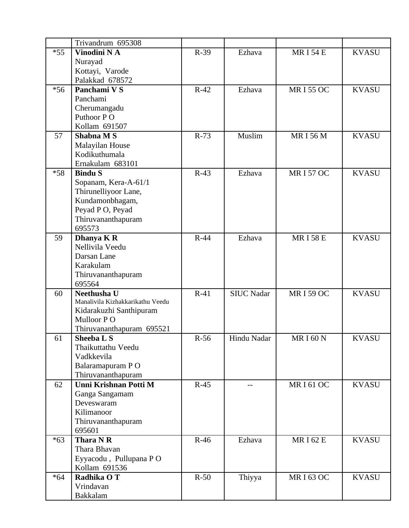|       | Trivandrum 695308                               |        |                   |                 |              |
|-------|-------------------------------------------------|--------|-------------------|-----------------|--------------|
| $*55$ | Vinodini NA                                     | $R-39$ | Ezhava            | <b>MRI54E</b>   | <b>KVASU</b> |
|       | Nurayad                                         |        |                   |                 |              |
|       | Kottayi, Varode                                 |        |                   |                 |              |
|       | Palakkad 678572                                 |        |                   |                 |              |
| $*56$ | Panchami V S                                    | $R-42$ | Ezhava            | <b>MRI55 OC</b> | <b>KVASU</b> |
|       | Panchami                                        |        |                   |                 |              |
|       | Cherumangadu                                    |        |                   |                 |              |
|       | Puthoor PO                                      |        |                   |                 |              |
|       | Kollam 691507                                   |        |                   |                 |              |
| 57    | <b>Shabna MS</b>                                | $R-73$ | Muslim            | <b>MRI56M</b>   | <b>KVASU</b> |
|       | <b>Malayilan House</b>                          |        |                   |                 |              |
|       | Kodikuthumala                                   |        |                   |                 |              |
|       | Ernakulam 683101                                |        |                   |                 |              |
| $*58$ | <b>Bindu S</b>                                  | $R-43$ | Ezhava            | <b>MRI57OC</b>  | <b>KVASU</b> |
|       | Sopanam, Kera-A-61/1                            |        |                   |                 |              |
|       | Thirunelliyoor Lane,                            |        |                   |                 |              |
|       | Kundamonbhagam,                                 |        |                   |                 |              |
|       | Peyad P O, Peyad                                |        |                   |                 |              |
|       | Thiruvananthapuram                              |        |                   |                 |              |
|       | 695573                                          |        |                   |                 |              |
| 59    | Dhanya K R                                      | $R-44$ | Ezhava            | <b>MRI58E</b>   | <b>KVASU</b> |
|       | Nellivila Veedu                                 |        |                   |                 |              |
|       | Darsan Lane                                     |        |                   |                 |              |
|       | Karakulam                                       |        |                   |                 |              |
|       | Thiruvananthapuram                              |        |                   |                 |              |
|       | 695564                                          |        |                   |                 |              |
| 60    | Neethusha U<br>Manalivila Kizhakkarikathu Veedu | $R-41$ | <b>SIUC Nadar</b> | <b>MRI59 OC</b> | <b>KVASU</b> |
|       | Kidarakuzhi Santhipuram                         |        |                   |                 |              |
|       | Mulloor PO                                      |        |                   |                 |              |
|       | Thiruvananthapuram 695521                       |        |                   |                 |              |
| 61    | Sheeba L S                                      | $R-56$ | Hindu Nadar       | <b>MRI60N</b>   | <b>KVASU</b> |
|       | Thaikuttathu Veedu                              |        |                   |                 |              |
|       | Vadkkevila                                      |        |                   |                 |              |
|       | Balaramapuram PO                                |        |                   |                 |              |
|       | Thiruvananthapuram                              |        |                   |                 |              |
| 62    | Unni Krishnan Potti M                           | $R-45$ |                   | <b>MRI61OC</b>  | <b>KVASU</b> |
|       | Ganga Sangamam                                  |        |                   |                 |              |
|       | Deveswaram                                      |        |                   |                 |              |
|       | Kilimanoor                                      |        |                   |                 |              |
|       | Thiruvananthapuram                              |        |                   |                 |              |
|       | 695601                                          |        |                   |                 |              |
| $*63$ | Thara N R                                       | $R-46$ | Ezhava            | <b>MRI62E</b>   | <b>KVASU</b> |
|       | Thara Bhavan                                    |        |                   |                 |              |
|       | Eyyacodu, Pullupana PO                          |        |                   |                 |              |
|       | Kollam 691536                                   |        |                   |                 |              |
| $*64$ | Radhika O T                                     | $R-50$ | Thiyya            | <b>MRI63 OC</b> | <b>KVASU</b> |
|       | Vrindavan                                       |        |                   |                 |              |
|       | <b>Bakkalam</b>                                 |        |                   |                 |              |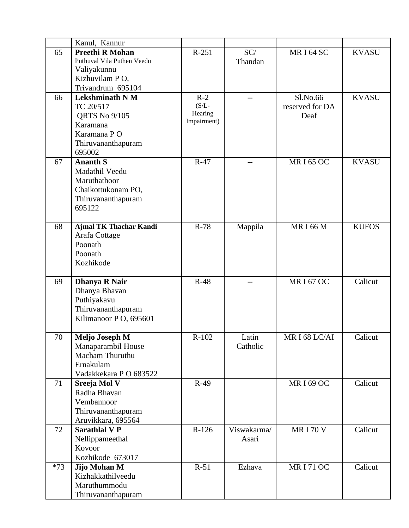|       | Kanul, Kannur                 |             |             |                   |              |
|-------|-------------------------------|-------------|-------------|-------------------|--------------|
| 65    | <b>Preethi R Mohan</b>        | $R-251$     | SC/         | MRI64 SC          | <b>KVASU</b> |
|       | Puthuval Vila Puthen Veedu    |             | Thandan     |                   |              |
|       | Valiyakunnu                   |             |             |                   |              |
|       | Kizhuvilam PO,                |             |             |                   |              |
|       | Trivandrum 695104             |             |             |                   |              |
| 66    | <b>Lekshminath N M</b>        | $R-2$       |             | Sl.No.66          | <b>KVASU</b> |
|       | TC 20/517                     | $(S/L -$    |             | reserved for DA   |              |
|       | <b>QRTS No 9/105</b>          | Hearing     |             | Deaf              |              |
|       | Karamana                      | Impairment) |             |                   |              |
|       | Karamana PO                   |             |             |                   |              |
|       | Thiruvananthapuram            |             |             |                   |              |
|       | 695002                        |             |             |                   |              |
| 67    | <b>Ananth S</b>               | $R-47$      |             | <b>MRI65 OC</b>   | <b>KVASU</b> |
|       | Madathil Veedu                |             |             |                   |              |
|       | Maruthathoor                  |             |             |                   |              |
|       | Chaikottukonam PO,            |             |             |                   |              |
|       | Thiruvananthapuram            |             |             |                   |              |
|       | 695122                        |             |             |                   |              |
|       |                               |             |             |                   |              |
| 68    | <b>Ajmal TK Thachar Kandi</b> | $R-78$      | Mappila     | <b>MRI66M</b>     | <b>KUFOS</b> |
|       | Arafa Cottage                 |             |             |                   |              |
|       | Poonath                       |             |             |                   |              |
|       | Poonath                       |             |             |                   |              |
|       | Kozhikode                     |             |             |                   |              |
| 69    | <b>Dhanya R Nair</b>          | $R-48$      |             | <b>MRI67OC</b>    | Calicut      |
|       | Dhanya Bhavan                 |             |             |                   |              |
|       | Puthiyakavu                   |             |             |                   |              |
|       | Thiruvananthapuram            |             |             |                   |              |
|       | Kilimanoor P O, 695601        |             |             |                   |              |
|       |                               |             |             |                   |              |
| 70    | <b>Meljo Joseph M</b>         | $R-102$     | Latin       | MRI68LC/AI        | Calicut      |
|       | Manaparambil House            |             | Catholic    |                   |              |
|       | Macham Thuruthu               |             |             |                   |              |
|       | Ernakulam                     |             |             |                   |              |
|       | Vadakkekara P O 683522        |             |             |                   |              |
| 71    | Sreeja Mol V                  | $R-49$      |             | <b>MR I 69 OC</b> | Calicut      |
|       | Radha Bhavan                  |             |             |                   |              |
|       | Vembannoor                    |             |             |                   |              |
|       | Thiruvananthapuram            |             |             |                   |              |
|       | Aruvikkara, 695564            |             |             |                   |              |
| 72    | <b>Sarathlal V P</b>          | $R-126$     | Viswakarma/ | <b>MRI 70 V</b>   | Calicut      |
|       | Nellippameethal<br>Kovoor     |             | Asari       |                   |              |
|       | Kozhikode 673017              |             |             |                   |              |
| $*73$ | Jijo Mohan M                  | $R-51$      | Ezhava      | <b>MRI 71 OC</b>  | Calicut      |
|       | Kizhakkathilveedu             |             |             |                   |              |
|       | Maruthummodu                  |             |             |                   |              |
|       | Thiruvananthapuram            |             |             |                   |              |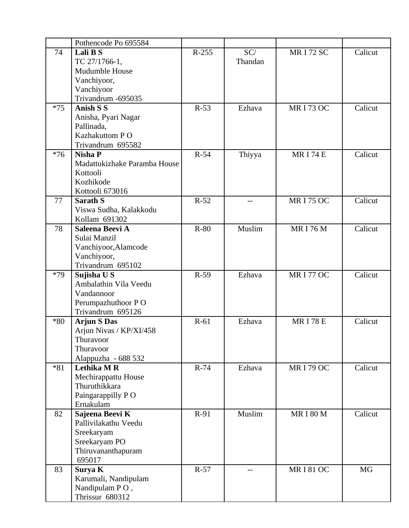|       | Pothencode Po 695584         |         |         |                  |           |
|-------|------------------------------|---------|---------|------------------|-----------|
| 74    | Lali B S                     | $R-255$ | SC/     | <b>MRI72 SC</b>  | Calicut   |
|       | TC 27/1766-1,                |         | Thandan |                  |           |
|       | <b>Mudumble House</b>        |         |         |                  |           |
|       | Vanchiyoor,                  |         |         |                  |           |
|       | Vanchiyoor                   |         |         |                  |           |
|       | Trivandrum -695035           |         |         |                  |           |
| $*75$ | <b>Anish S S</b>             | $R-53$  | Ezhava  | <b>MRI 73 OC</b> | Calicut   |
|       | Anisha, Pyari Nagar          |         |         |                  |           |
|       | Pallinada,                   |         |         |                  |           |
|       | Kazhakuttom PO               |         |         |                  |           |
|       | Trivandrum 695582            |         |         |                  |           |
| $*76$ | <b>Nisha P</b>               | $R-54$  |         | <b>MRI 74 E</b>  | Calicut   |
|       | Madattukizhake Paramba House |         | Thiyya  |                  |           |
|       |                              |         |         |                  |           |
|       | Kottooli<br>Kozhikode        |         |         |                  |           |
|       |                              |         |         |                  |           |
|       | Kottooli 673016              |         |         |                  |           |
| 77    | <b>Sarath S</b>              | $R-52$  | --      | <b>MRI 75 OC</b> | Calicut   |
|       | Viswa Sudha, Kalakkodu       |         |         |                  |           |
|       | Kollam 691302                |         |         |                  |           |
| 78    | Saleena Beevi A              | $R-80$  | Muslim  | <b>MRI76M</b>    | Calicut   |
|       | Sulai Manzil                 |         |         |                  |           |
|       | Vanchiyoor, Alamcode         |         |         |                  |           |
|       | Vanchiyoor,                  |         |         |                  |           |
|       | Trivandrum 695102            |         |         |                  |           |
| $*79$ | Sujisha U S                  | $R-59$  | Ezhava  | <b>MRI 77 OC</b> | Calicut   |
|       | Ambalathin Vila Veedu        |         |         |                  |           |
|       | Vandannoor                   |         |         |                  |           |
|       | Perumpazhuthoor PO           |         |         |                  |           |
|       | Trivandrum 695126            |         |         |                  |           |
| $*80$ | <b>Arjun S Das</b>           | $R-61$  | Ezhava  | <b>MRI78E</b>    | Calicut   |
|       | Arjun Nivas / KP/XI/458      |         |         |                  |           |
|       | Thuravoor                    |         |         |                  |           |
|       | Thuravoor                    |         |         |                  |           |
|       | Alappuzha - 688 532          |         |         |                  |           |
| $*81$ | <b>Lethika M R</b>           | $R-74$  | Ezhava  | <b>MRI 79 OC</b> | Calicut   |
|       | Mechirappattu House          |         |         |                  |           |
|       | Thuruthikkara                |         |         |                  |           |
|       | Paingarappilly PO            |         |         |                  |           |
|       | Ernakulam                    |         |         |                  |           |
| 82    | Sajeena Beevi K              | $R-91$  | Muslim  | <b>MRI 80 M</b>  | Calicut   |
|       | Pallivilakathu Veedu         |         |         |                  |           |
|       | Sreekaryam                   |         |         |                  |           |
|       | Sreekaryam PO                |         |         |                  |           |
|       | Thiruvananthapuram           |         |         |                  |           |
|       | 695017                       |         |         |                  |           |
| 83    | Surya K                      | $R-57$  |         | <b>MRI81OC</b>   | <b>MG</b> |
|       | Karumali, Nandipulam         |         |         |                  |           |
|       | Nandipulam PO,               |         |         |                  |           |
|       | Thrissur 680312              |         |         |                  |           |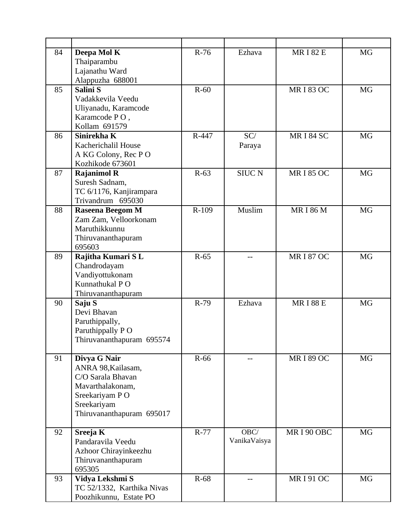| 84 | Deepa Mol K                                   | $R-76$ | Ezhava        | <b>MRI 82 E</b>  | <b>MG</b> |
|----|-----------------------------------------------|--------|---------------|------------------|-----------|
|    | Thaiparambu                                   |        |               |                  |           |
|    | Lajanathu Ward                                |        |               |                  |           |
|    | Alappuzha 688001                              |        |               |                  |           |
| 85 | Salini S                                      | $R-60$ |               | <b>MRI 83 OC</b> | <b>MG</b> |
|    | Vadakkevila Veedu                             |        |               |                  |           |
|    | Uliyanadu, Karamcode                          |        |               |                  |           |
|    | Karamcode PO,                                 |        |               |                  |           |
|    | Kollam 691579                                 |        |               |                  |           |
| 86 | Sinirekha K                                   | R-447  | SC/           | <b>MRI 84 SC</b> | <b>MG</b> |
|    | Kacherichalil House                           |        | Paraya        |                  |           |
|    | A KG Colony, Rec PO                           |        |               |                  |           |
|    | Kozhikode 673601                              |        |               |                  |           |
| 87 | <b>Rajanimol R</b>                            | $R-63$ | <b>SIUC N</b> | <b>MRI 85 OC</b> | <b>MG</b> |
|    | Suresh Sadnam,                                |        |               |                  |           |
|    |                                               |        |               |                  |           |
|    | TC 6/1176, Kanjirampara                       |        |               |                  |           |
| 88 | Trivandrum 695030                             | R-109  | Muslim        | <b>MRI 86 M</b>  | <b>MG</b> |
|    | Raseena Beegom M<br>Zam Zam, Velloorkonam     |        |               |                  |           |
|    | Maruthikkunnu                                 |        |               |                  |           |
|    |                                               |        |               |                  |           |
|    | Thiruvananthapuram<br>695603                  |        |               |                  |           |
|    |                                               | $R-65$ |               |                  |           |
| 89 | Rajitha Kumari SL                             |        |               | <b>MRI 87 OC</b> | <b>MG</b> |
|    | Chandrodayam                                  |        |               |                  |           |
|    | Vandiyottukonam                               |        |               |                  |           |
|    | Kunnathukal PO                                |        |               |                  |           |
|    | Thiruvananthapuram                            |        |               |                  |           |
| 90 | Saju S<br>Devi Bhavan                         | R-79   | Ezhava        | <b>MRI88E</b>    | <b>MG</b> |
|    |                                               |        |               |                  |           |
|    | Paruthippally,                                |        |               |                  |           |
|    | Paruthippally PO                              |        |               |                  |           |
|    | Thiruvananthapuram 695574                     |        |               |                  |           |
|    |                                               |        |               |                  |           |
| 91 | Divya G Nair                                  | R-66   |               | <b>MRI 89 OC</b> | MG        |
|    | ANRA 98, Kailasam,                            |        |               |                  |           |
|    | C/O Sarala Bhavan                             |        |               |                  |           |
|    | Mavarthalakonam,                              |        |               |                  |           |
|    | Sreekariyam PO                                |        |               |                  |           |
|    | Sreekariyam                                   |        |               |                  |           |
|    | Thiruvananthapuram 695017                     |        |               |                  |           |
| 92 |                                               | $R-77$ | OBC/          | MRI90 OBC        | <b>MG</b> |
|    | Sreeja K<br>Pandaravila Veedu                 |        | VanikaVaisya  |                  |           |
|    |                                               |        |               |                  |           |
|    | Azhoor Chirayinkeezhu                         |        |               |                  |           |
|    | Thiruvananthapuram                            |        |               |                  |           |
|    | 695305                                        |        |               |                  |           |
| 93 | Vidya Lekshmi S<br>TC 52/1332, Karthika Nivas | R-68   |               | <b>MRI91OC</b>   | MG        |
|    |                                               |        |               |                  |           |
|    | Poozhikunnu, Estate PO                        |        |               |                  |           |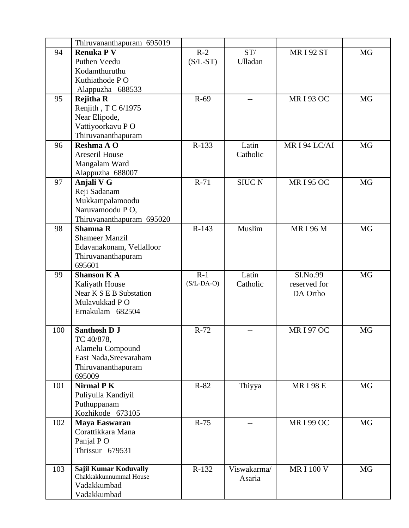|     | Thiruvananthapuram 695019             |              |               |                  |           |
|-----|---------------------------------------|--------------|---------------|------------------|-----------|
| 94  | <b>Renuka P V</b>                     | $R-2$        | ST/           | <b>MRI 92 ST</b> | <b>MG</b> |
|     | Puthen Veedu                          | $(S/L-ST)$   | Ulladan       |                  |           |
|     | Kodamthuruthu                         |              |               |                  |           |
|     | Kuthiathode P O                       |              |               |                  |           |
|     | Alappuzha 688533                      |              |               |                  |           |
| 95  | <b>Rejitha R</b>                      | $R-69$       |               | <b>MRI 93 OC</b> | <b>MG</b> |
|     | Renjith, T C 6/1975                   |              |               |                  |           |
|     | Near Elipode,                         |              |               |                  |           |
|     | Vattiyoorkavu PO                      |              |               |                  |           |
|     | Thiruvananthapuram                    |              |               |                  |           |
| 96  | Reshma A O                            | R-133        | Latin         | MRI94 LC/AI      | <b>MG</b> |
|     | <b>Areseril House</b>                 |              | Catholic      |                  |           |
|     | Mangalam Ward                         |              |               |                  |           |
|     | Alappuzha 688007                      |              |               |                  |           |
| 97  | Anjali V G                            | R-71         | <b>SIUC N</b> | <b>MRI 95 OC</b> | <b>MG</b> |
|     | Reji Sadanam                          |              |               |                  |           |
|     | Mukkampalamoodu                       |              |               |                  |           |
|     | Naruvamoodu PO,                       |              |               |                  |           |
|     | Thiruvananthapuram 695020             |              |               |                  |           |
| 98  | <b>Shamna R</b>                       | R-143        | Muslim        | <b>MRI 96 M</b>  | <b>MG</b> |
|     | <b>Shameer Manzil</b>                 |              |               |                  |           |
|     | Edavanakonam, Vellalloor              |              |               |                  |           |
|     | Thiruvananthapuram                    |              |               |                  |           |
|     | 695601                                |              |               |                  |           |
| 99  | <b>Shanson KA</b>                     | $R-1$        | Latin         | Sl.No.99         | <b>MG</b> |
|     | Kaliyath House                        | $(S/L-DA-O)$ | Catholic      | reserved for     |           |
|     | Near K S E B Substation               |              |               | DA Ortho         |           |
|     | Mulavukkad PO                         |              |               |                  |           |
|     | Ernakulam 682504                      |              |               |                  |           |
| 100 | <b>Santhosh D J</b>                   | $R-72$       | $-$           | <b>MRI 97 OC</b> | MG        |
|     | TC 40/878,                            |              |               |                  |           |
|     | Alamelu Compound                      |              |               |                  |           |
|     | East Nada, Sreevaraham                |              |               |                  |           |
|     |                                       |              |               |                  |           |
|     |                                       |              |               |                  |           |
|     | Thiruvananthapuram<br>695009          |              |               |                  |           |
| 101 | <b>Nirmal PK</b>                      | $R-82$       |               | <b>MRI98E</b>    | <b>MG</b> |
|     | Puliyulla Kandiyil                    |              | Thiyya        |                  |           |
|     | Puthuppanam                           |              |               |                  |           |
|     | Kozhikode 673105                      |              |               |                  |           |
| 102 | <b>Maya Easwaran</b>                  | $R-75$       |               | <b>MRI 99 OC</b> | MG        |
|     | Corattikkara Mana                     |              |               |                  |           |
|     | Panjal PO                             |              |               |                  |           |
|     | Thrissur 679531                       |              |               |                  |           |
|     |                                       |              |               |                  |           |
| 103 | <b>Sajil Kumar Koduvally</b>          | R-132        | Viswakarma/   | <b>MRI 100 V</b> | MG        |
|     | Chakkakkunnummal House<br>Vadakkumbad |              | Asaria        |                  |           |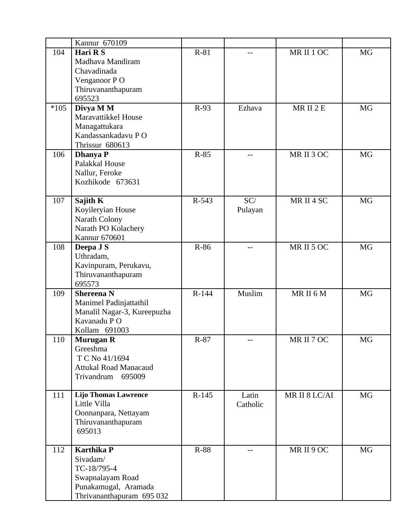|        | Kannur 670109                 |         |          |                     |           |
|--------|-------------------------------|---------|----------|---------------------|-----------|
| 104    | Hari R S                      | $R-81$  |          | MR II 1 OC          | MG        |
|        | Madhava Mandiram              |         |          |                     |           |
|        | Chavadinada                   |         |          |                     |           |
|        | Venganoor PO                  |         |          |                     |           |
|        | Thiruvananthapuram            |         |          |                     |           |
|        | 695523                        |         |          |                     |           |
| $*105$ | Divya M M                     | $R-93$  | Ezhava   | MRII <sub>2</sub> E | MG        |
|        | Maravattikkel House           |         |          |                     |           |
|        | Managattukara                 |         |          |                     |           |
|        | Kandassankadavu PO            |         |          |                     |           |
|        | Thrissur 680613               |         |          |                     |           |
| 106    | <b>Dhanya P</b>               | R-85    |          | MR II 3 OC          | MG        |
|        | Palakkal House                |         |          |                     |           |
|        | Nallur, Feroke                |         |          |                     |           |
|        | Kozhikode 673631              |         |          |                     |           |
|        |                               | R-543   | SC/      | MR II 4 SC          | <b>MG</b> |
| 107    | Sajith K<br>Koyileryian House |         |          |                     |           |
|        | Narath Colony                 |         | Pulayan  |                     |           |
|        | Narath PO Kolachery           |         |          |                     |           |
|        | Kannur 670601                 |         |          |                     |           |
| 108    | Deepa J S                     | R-86    | --       | MR II 5 OC          | <b>MG</b> |
|        | Uthradam,                     |         |          |                     |           |
|        | Kavinpuram, Perukavu,         |         |          |                     |           |
|        | Thiruvananthapuram            |         |          |                     |           |
|        | 695573                        |         |          |                     |           |
| 109    | <b>Shereena N</b>             | R-144   | Muslim   | MRII6M              | <b>MG</b> |
|        | Manimel Padinjattathil        |         |          |                     |           |
|        | Manalil Nagar-3, Kureepuzha   |         |          |                     |           |
|        | Kavanadu PO                   |         |          |                     |           |
|        | Kollam 691003                 |         |          |                     |           |
| 110    | <b>Murugan R</b>              | R-87    |          | MR II 7 OC          | MG        |
|        | Greeshma                      |         |          |                     |           |
|        | T C No 41/1694                |         |          |                     |           |
|        | <b>Attukal Road Manacaud</b>  |         |          |                     |           |
|        | 695009<br>Trivandrum          |         |          |                     |           |
|        |                               |         |          |                     |           |
| 111    | <b>Lijo Thomas Lawrence</b>   | $R-145$ | Latin    | MR II 8 LC/AI       | MG        |
|        | Little Villa                  |         | Catholic |                     |           |
|        | Oonnanpara, Nettayam          |         |          |                     |           |
|        | Thiruvananthapuram            |         |          |                     |           |
|        | 695013                        |         |          |                     |           |
| 112    | <b>Karthika P</b>             | R-88    |          | MRII 9 OC           | MG        |
|        | Sivadam/                      |         |          |                     |           |
|        | TC-18/795-4                   |         |          |                     |           |
|        | Swapnalayam Road              |         |          |                     |           |
|        | Punakamugal, Aramada          |         |          |                     |           |
|        | Thrivananthapuram 695 032     |         |          |                     |           |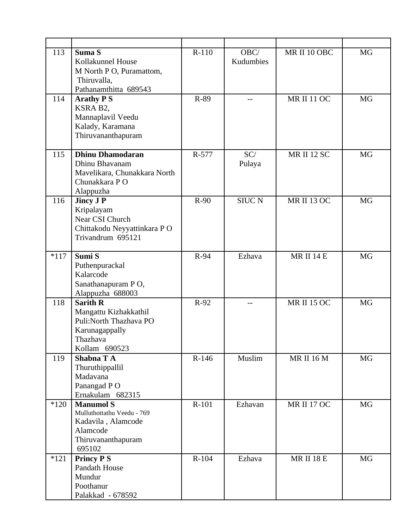| 113    | Suma S<br>Kollakunnel House<br>M North P O, Puramattom,<br>Thiruvalla,<br>Pathanamthitta 689543                    | R-110  | OBC/<br>Kudumbies | MR II 10 OBC       | <b>MG</b> |
|--------|--------------------------------------------------------------------------------------------------------------------|--------|-------------------|--------------------|-----------|
| 114    | <b>Arathy PS</b><br>KSRA B2,<br>Mannaplavil Veedu<br>Kalady, Karamana<br>Thiruvananthapuram                        | R-89   | --                | <b>MR II 11 OC</b> | <b>MG</b> |
| 115    | <b>Dhinu Dhamodaran</b><br>Dhinu Bhavanam<br>Mavelikara, Chunakkara North<br>Chunakkara PO<br>Alappuzha            | R-577  | SC/<br>Pulaya     | <b>MR II 12 SC</b> | <b>MG</b> |
| 116    | <b>Jincy J P</b><br>Kripalayam<br>Near CSI Church<br>Chittakodu Neyyattinkara PO<br>Trivandrum 695121              | $R-90$ | <b>SIUC N</b>     | <b>MR II 13 OC</b> | <b>MG</b> |
| $*117$ | Sumi S<br>Puthenpurackal<br>Kalarcode<br>Sanathanapuram PO,<br>Alappuzha 688003                                    | R-94   | Ezhava            | <b>MR II 14 E</b>  | <b>MG</b> |
| 118    | <b>Sarith R</b><br>Mangattu Kizhakkathil<br>Puli: North Thazhava PO<br>Karunagappally<br>Thazhava<br>Kollam 690523 | $R-92$ | --                | <b>MR II 15 OC</b> | <b>MG</b> |
| 119    | Shabna TA<br>Thuruthippallil<br>Madavana<br>Panangad PO<br>Ernakulam 682315                                        | R-146  | Muslim            | <b>MR II 16 M</b>  | MG        |
| $*120$ | <b>Manumol S</b><br>Mulluthottathu Veedu - 769<br>Kadavila, Alamcode<br>Alamcode<br>Thiruvananthapuram<br>695102   | R-101  | Ezhavan           | <b>MR II 17 OC</b> | MG        |
| $*121$ | <b>Princy PS</b><br>Pandath House<br>Mundur<br>Poothanur<br>Palakkad - 678592                                      | R-104  | Ezhava            | <b>MR II 18 E</b>  | <b>MG</b> |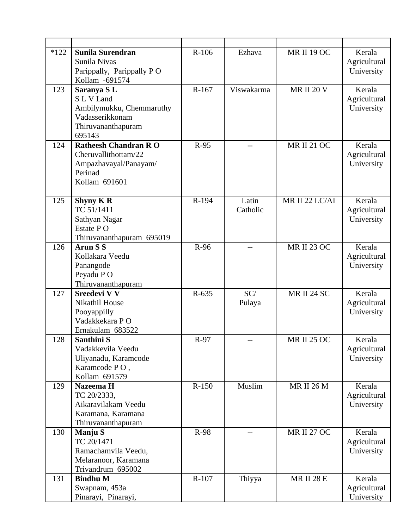| $*122$ | Sunila Surendran                            | R-106   | Ezhava     | <b>MR II 19 OC</b> | Kerala                     |
|--------|---------------------------------------------|---------|------------|--------------------|----------------------------|
|        | Sunila Nivas                                |         |            |                    | Agricultural               |
|        | Parippally, Parippally PO<br>Kollam -691574 |         |            |                    | University                 |
| 123    | Saranya SL                                  | R-167   | Viswakarma | <b>MR II 20 V</b>  | Kerala                     |
|        | S L V Land                                  |         |            |                    | Agricultural               |
|        | Ambilymukku, Chemmaruthy                    |         |            |                    | University                 |
|        | Vadasserikkonam                             |         |            |                    |                            |
|        | Thiruvananthapuram                          |         |            |                    |                            |
|        | 695143                                      |         |            |                    |                            |
| 124    | <b>Ratheesh Chandran RO</b>                 | R-95    |            | <b>MR II 21 OC</b> | Kerala                     |
|        | Cheruvallithottam/22                        |         |            |                    | Agricultural               |
|        | Ampazhavayal/Panayam/                       |         |            |                    | University                 |
|        | Perinad                                     |         |            |                    |                            |
|        | Kollam 691601                               |         |            |                    |                            |
| 125    | <b>Shyny K R</b>                            | R-194   | Latin      | MR II 22 LC/AI     | Kerala                     |
|        | TC 51/1411                                  |         | Catholic   |                    | Agricultural               |
|        | Sathyan Nagar                               |         |            |                    | University                 |
|        | Estate PO                                   |         |            |                    |                            |
|        | Thiruvananthapuram 695019                   |         |            |                    |                            |
| 126    | <b>Arun S S</b>                             | R-96    | --         | <b>MR II 23 OC</b> | Kerala                     |
|        | Kollakara Veedu                             |         |            |                    | Agricultural               |
|        | Panangode                                   |         |            |                    | University                 |
|        | Peyadu PO<br>Thiruvananthapuram             |         |            |                    |                            |
| 127    | <b>Sreedevi V V</b>                         | R-635   | SC/        | <b>MR II 24 SC</b> | Kerala                     |
|        | Nikathil House                              |         | Pulaya     |                    | Agricultural               |
|        | Pooyappilly                                 |         |            |                    | University                 |
|        | Vadakkekara PO                              |         |            |                    |                            |
|        | Ernakulam 683522                            |         |            |                    |                            |
| 128    | Santhini S                                  | R-97    |            | <b>MR II 25 OC</b> | Kerala                     |
|        | Vadakkevila Veedu                           |         |            |                    | Agricultural               |
|        | Uliyanadu, Karamcode                        |         |            |                    | University                 |
|        | Karamcode PO,                               |         |            |                    |                            |
|        | Kollam 691579                               |         |            |                    |                            |
| 129    | Nazeema H                                   | $R-150$ | Muslim     | <b>MR II 26 M</b>  | Kerala                     |
|        | TC 20/2333,<br>Aikaravilakam Veedu          |         |            |                    | Agricultural<br>University |
|        | Karamana, Karamana                          |         |            |                    |                            |
|        | Thiruvananthapuram                          |         |            |                    |                            |
| 130    | <b>Manju S</b>                              | R-98    |            | <b>MR II 27 OC</b> | Kerala                     |
|        | TC 20/1471                                  |         |            |                    | Agricultural               |
|        | Ramachamvila Veedu,                         |         |            |                    | University                 |
|        | Melaranoor, Karamana                        |         |            |                    |                            |
|        | Trivandrum 695002                           |         |            |                    |                            |
| 131    | <b>Bindhu M</b>                             | $R-107$ | Thiyya     | <b>MR II 28 E</b>  | Kerala                     |
|        | Swapnam, 453a                               |         |            |                    | Agricultural               |
|        | Pinarayi, Pinarayi,                         |         |            |                    | University                 |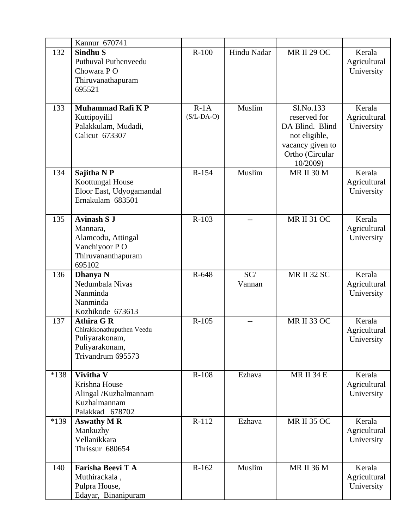|      | Kannur 670741                                                                                           |                        |               |                                                                                                                  |                                      |
|------|---------------------------------------------------------------------------------------------------------|------------------------|---------------|------------------------------------------------------------------------------------------------------------------|--------------------------------------|
| 132  | Sindhu <sub>S</sub><br>Puthuval Puthenveedu<br>Chowara PO<br>Thiruvanathapuram<br>695521                | $R-100$                | Hindu Nadar   | <b>MR II 29 OC</b>                                                                                               | Kerala<br>Agricultural<br>University |
| 133  | <b>Muhammad Rafi K P</b><br>Kuttipoyilil<br>Palakkulam, Mudadi,<br>Calicut 673307                       | $R-1A$<br>$(S/L-DA-O)$ | Muslim        | Sl.No.133<br>reserved for<br>DA Blind. Blind<br>not eligible,<br>vacancy given to<br>Ortho (Circular<br>10/2009) | Kerala<br>Agricultural<br>University |
| 134  | Sajitha N P<br>Koottungal House<br>Eloor East, Udyogamandal<br>Ernakulam 683501                         | R-154                  | Muslim        | <b>MR II 30 M</b>                                                                                                | Kerala<br>Agricultural<br>University |
| 135  | <b>Avinash S J</b><br>Mannara,<br>Alamcodu, Attingal<br>Vanchiyoor P O<br>Thiruvananthapuram<br>695102  | $R-103$                | --            | <b>MR II 31 OC</b>                                                                                               | Kerala<br>Agricultural<br>University |
| 136  | Dhanya N<br>Nedumbala Nivas<br>Nanminda<br>Nanminda<br>Kozhikode 673613                                 | R-648                  | SC/<br>Vannan | <b>MR II 32 SC</b>                                                                                               | Kerala<br>Agricultural<br>University |
| 137  | <b>Athira G R</b><br>Chirakkonathuputhen Veedu<br>Puliyarakonam,<br>Puliyarakonam,<br>Trivandrum 695573 | $R-105$                |               | <b>MR II 33 OC</b>                                                                                               | Kerala<br>Agricultural<br>University |
| *138 | <b>Vivitha V</b><br>Krishna House<br>Alingal /Kuzhalmannam<br>Kuzhalmannam<br>Palakkad 678702           | R-108                  | Ezhava        | <b>MR II 34 E</b>                                                                                                | Kerala<br>Agricultural<br>University |
| *139 | <b>Aswathy M R</b><br>Mankuzhy<br>Vellanikkara<br>Thrissur 680654                                       | R-112                  | Ezhava        | <b>MR II 35 OC</b>                                                                                               | Kerala<br>Agricultural<br>University |
| 140  | Farisha Beevi T A<br>Muthirackala,<br>Pulpra House,<br>Edayar, Binanipuram                              | R-162                  | Muslim        | <b>MR II 36 M</b>                                                                                                | Kerala<br>Agricultural<br>University |